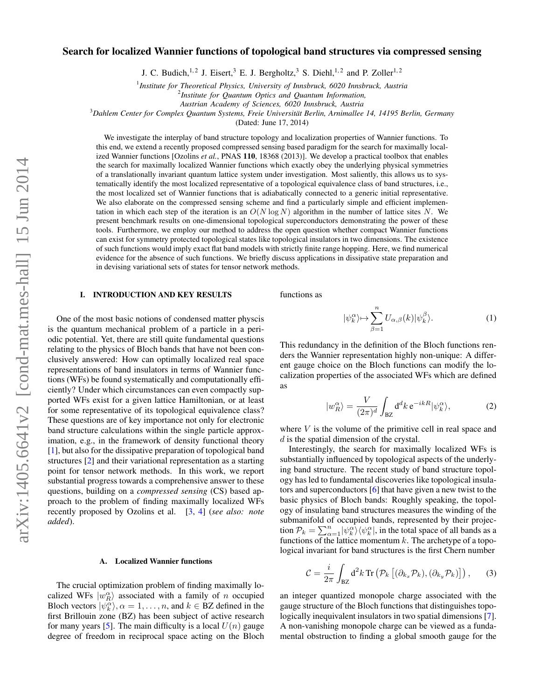# Search for localized Wannier functions of topological band structures via compressed sensing

J. C. Budich,<sup>1,2</sup> J. Eisert,<sup>3</sup> E. J. Bergholtz,<sup>3</sup> S. Diehl,<sup>1,2</sup> and P. Zoller<sup>1,2</sup>

1 *Institute for Theoretical Physics, University of Innsbruck, 6020 Innsbruck, Austria*

*Austrian Academy of Sciences, 6020 Innsbruck, Austria*

<sup>3</sup>*Dahlem Center for Complex Quantum Systems, Freie Universitat Berlin, Arnimallee 14, 14195 Berlin, Germany ¨*

(Dated: June 17, 2014)

We investigate the interplay of band structure topology and localization properties of Wannier functions. To this end, we extend a recently proposed compressed sensing based paradigm for the search for maximally localized Wannier functions [Ozolins *et al.*, PNAS 110, 18368 (2013)]. We develop a practical toolbox that enables the search for maximally localized Wannier functions which exactly obey the underlying physical symmetries of a translationally invariant quantum lattice system under investigation. Most saliently, this allows us to systematically identify the most localized representative of a topological equivalence class of band structures, i.e., the most localized set of Wannier functions that is adiabatically connected to a generic initial representative. We also elaborate on the compressed sensing scheme and find a particularly simple and efficient implementation in which each step of the iteration is an  $O(N \log N)$  algorithm in the number of lattice sites N. We present benchmark results on one-dimensional topological superconductors demonstrating the power of these tools. Furthermore, we employ our method to address the open question whether compact Wannier functions can exist for symmetry protected topological states like topological insulators in two dimensions. The existence of such functions would imply exact flat band models with strictly finite range hopping. Here, we find numerical evidence for the absence of such functions. We briefly discuss applications in dissipative state preparation and in devising variational sets of states for tensor network methods.

### I. INTRODUCTION AND KEY RESULTS

One of the most basic notions of condensed matter physcis is the quantum mechanical problem of a particle in a periodic potential. Yet, there are still quite fundamental questions relating to the physics of Bloch bands that have not been conclusively answered: How can optimally localized real space representations of band insulators in terms of Wannier functions (WFs) be found systematically and computationally efficiently? Under which circumstances can even compactly supported WFs exist for a given lattice Hamiltonian, or at least for some representative of its topological equivalence class? These questions are of key importance not only for electronic band structure calculations within the single particle approximation, e.g., in the framework of density functional theory [\[1\]](#page-9-0), but also for the dissipative preparation of topological band structures [\[2\]](#page-9-1) and their variational representation as a starting point for tensor network methods. In this work, we report substantial progress towards a comprehensive answer to these questions, building on a *compressed sensing* (CS) based approach to the problem of finding maximally localized WFs recently proposed by Ozolins et al. [\[3,](#page-9-2) [4\]](#page-9-3) (*see also: note added*).

### A. Localized Wannier functions

The crucial optimization problem of finding maximally localized WFs  $|w_R^{\alpha}\rangle$  associated with a family of n occupied Bloch vectors  $|\psi_k^{\alpha}\rangle$ ,  $\alpha = 1, ..., n$ , and  $k \in BZ$  defined in the first Brillouin zone (BZ) has been subject of active research for many years [\[5\]](#page-9-4). The main difficulty is a local  $U(n)$  gauge degree of freedom in reciprocal space acting on the Bloch functions as

<span id="page-0-2"></span>
$$
|\psi_k^{\alpha}\rangle \mapsto \sum_{\beta=1}^n U_{\alpha,\beta}(k)|\psi_k^{\beta}\rangle. \tag{1}
$$

This redundancy in the definition of the Bloch functions renders the Wannier representation highly non-unique: A different gauge choice on the Bloch functions can modify the localization properties of the associated WFs which are defined as

<span id="page-0-0"></span>
$$
|w_R^{\alpha}\rangle = \frac{V}{(2\pi)^d} \int_{\text{BZ}} d^d k \,\mathrm{e}^{-ikR} |\psi_k^{\alpha}\rangle,\tag{2}
$$

where  $V$  is the volume of the primitive cell in real space and d is the spatial dimension of the crystal.

Interestingly, the search for maximally localized WFs is substantially influenced by topological aspects of the underlying band structure. The recent study of band structure topology has led to fundamental discoveries like topological insulators and superconductors [\[6\]](#page-9-5) that have given a new twist to the basic physics of Bloch bands: Roughly speaking, the topology of insulating band structures measures the winding of the submanifold of occupied bands, represented by their projection  $\mathcal{P}_k = \sum_{\alpha=1}^n |\psi_k^{\alpha}\rangle \langle \psi_k^{\alpha}|$ , in the total space of all bands as a functions of the lattice momentum  $k$ . The archetype of a topological invariant for band structures is the first Chern number

<span id="page-0-1"></span>
$$
\mathcal{C} = \frac{i}{2\pi} \int_{\text{BZ}} d^2 k \, \text{Tr} \left( \mathcal{P}_k \left[ (\partial_{k_x} \mathcal{P}_k), (\partial_{k_y} \mathcal{P}_k) \right] \right), \qquad (3)
$$

an integer quantized monopole charge associated with the gauge structure of the Bloch functions that distinguishes topo-logically inequivalent insulators in two spatial dimensions [\[7\]](#page-9-6). A non-vanishing monopole charge can be viewed as a fundamental obstruction to finding a global smooth gauge for the

<sup>2</sup> *Institute for Quantum Optics and Quantum Information,*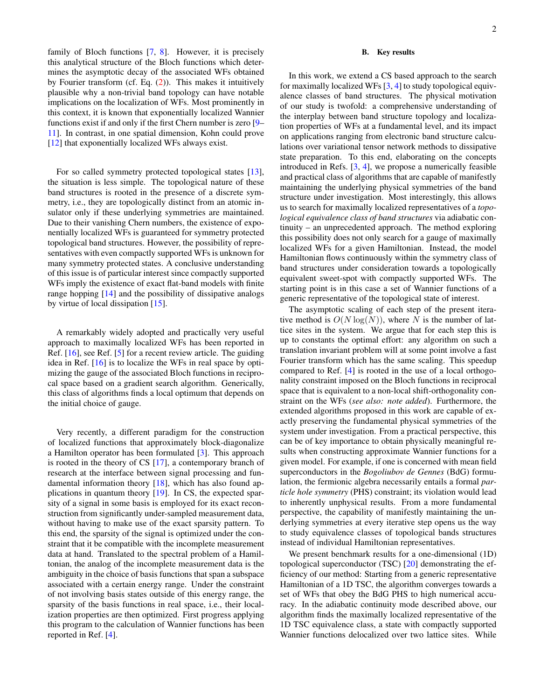family of Bloch functions [\[7,](#page-9-6) [8\]](#page-9-7). However, it is precisely this analytical structure of the Bloch functions which determines the asymptotic decay of the associated WFs obtained by Fourier transform (cf. Eq. [\(2\)](#page-0-0)). This makes it intuitively plausible why a non-trivial band topology can have notable implications on the localization of WFs. Most prominently in this context, it is known that exponentially localized Wannier functions exist if and only if the first Chern number is zero [\[9–](#page-9-8) [11\]](#page-9-9). In contrast, in one spatial dimension, Kohn could prove [\[12\]](#page-9-10) that exponentially localized WFs always exist.

For so called symmetry protected topological states [\[13\]](#page-9-11), the situation is less simple. The topological nature of these band structures is rooted in the presence of a discrete symmetry, i.e., they are topologically distinct from an atomic insulator only if these underlying symmetries are maintained. Due to their vanishing Chern numbers, the existence of exponentially localized WFs is guaranteed for symmetry protected topological band structures. However, the possibility of representatives with even compactly supported WFs is unknown for many symmetry protected states. A conclusive understanding of this issue is of particular interest since compactly supported WFs imply the existence of exact flat-band models with finite range hopping [\[14\]](#page-9-12) and the possibility of dissipative analogs by virtue of local dissipation [\[15\]](#page-9-13).

A remarkably widely adopted and practically very useful approach to maximally localized WFs has been reported in Ref. [\[16\]](#page-9-14), see Ref. [\[5\]](#page-9-4) for a recent review article. The guiding idea in Ref. [\[16\]](#page-9-14) is to localize the WFs in real space by optimizing the gauge of the associated Bloch functions in reciprocal space based on a gradient search algorithm. Generically, this class of algorithms finds a local optimum that depends on the initial choice of gauge.

Very recently, a different paradigm for the construction of localized functions that approximately block-diagonalize a Hamilton operator has been formulated [\[3\]](#page-9-2). This approach is rooted in the theory of CS [\[17\]](#page-9-15), a contemporary branch of research at the interface between signal processing and fundamental information theory [\[18\]](#page-9-16), which has also found applications in quantum theory [\[19\]](#page-9-17). In CS, the expected sparsity of a signal in some basis is employed for its exact reconstruction from significantly under-sampled measurement data, without having to make use of the exact sparsity pattern. To this end, the sparsity of the signal is optimized under the constraint that it be compatible with the incomplete measurement data at hand. Translated to the spectral problem of a Hamiltonian, the analog of the incomplete measurement data is the ambiguity in the choice of basis functions that span a subspace associated with a certain energy range. Under the constraint of not involving basis states outside of this energy range, the sparsity of the basis functions in real space, i.e., their localization properties are then optimized. First progress applying this program to the calculation of Wannier functions has been reported in Ref. [\[4\]](#page-9-3).

### B. Key results

In this work, we extend a CS based approach to the search for maximally localized WFs [\[3,](#page-9-2) [4\]](#page-9-3) to study topological equivalence classes of band structures. The physical motivation of our study is twofold: a comprehensive understanding of the interplay between band structure topology and localization properties of WFs at a fundamental level, and its impact on applications ranging from electronic band structure calculations over variational tensor network methods to dissipative state preparation. To this end, elaborating on the concepts introduced in Refs. [\[3,](#page-9-2) [4\]](#page-9-3), we propose a numerically feasible and practical class of algorithms that are capable of manifestly maintaining the underlying physical symmetries of the band structure under investigation. Most interestingly, this allows us to search for maximally localized representatives of a *topological equivalence class of band structures* via adiabatic continuity – an unprecedented approach. The method exploring this possibility does not only search for a gauge of maximally localized WFs for a given Hamiltonian. Instead, the model Hamiltonian flows continuously within the symmetry class of band structures under consideration towards a topologically equivalent sweet-spot with compactly supported WFs. The starting point is in this case a set of Wannier functions of a generic representative of the topological state of interest.

The asymptotic scaling of each step of the present iterative method is  $O(N \log(N))$ , where N is the number of lattice sites in the system. We argue that for each step this is up to constants the optimal effort: any algorithm on such a translation invariant problem will at some point involve a fast Fourier transform which has the same scaling. This speedup compared to Ref. [\[4\]](#page-9-3) is rooted in the use of a local orthogonality constraint imposed on the Bloch functions in reciprocal space that is equivalent to a non-local shift-orthogonality constraint on the WFs (*see also: note added*). Furthermore, the extended algorithms proposed in this work are capable of exactly preserving the fundamental physical symmetries of the system under investigation. From a practical perspective, this can be of key importance to obtain physically meaningful results when constructing approximate Wannier functions for a given model. For example, if one is concerned with mean field superconductors in the *Bogoliubov de Gennes* (BdG) formulation, the fermionic algebra necessarily entails a formal *particle hole symmetry* (PHS) constraint; its violation would lead to inherently unphysical results. From a more fundamental perspective, the capability of manifestly maintaining the underlying symmetries at every iterative step opens us the way to study equivalence classes of topological bands structures instead of individual Hamiltonian representatives.

We present benchmark results for a one-dimensional (1D) topological superconductor (TSC) [\[20\]](#page-9-18) demonstrating the efficiency of our method: Starting from a generic representative Hamiltonian of a 1D TSC, the algorithm converges towards a set of WFs that obey the BdG PHS to high numerical accuracy. In the adiabatic continuity mode described above, our algorithm finds the maximally localized representative of the 1D TSC equivalence class, a state with compactly supported Wannier functions delocalized over two lattice sites. While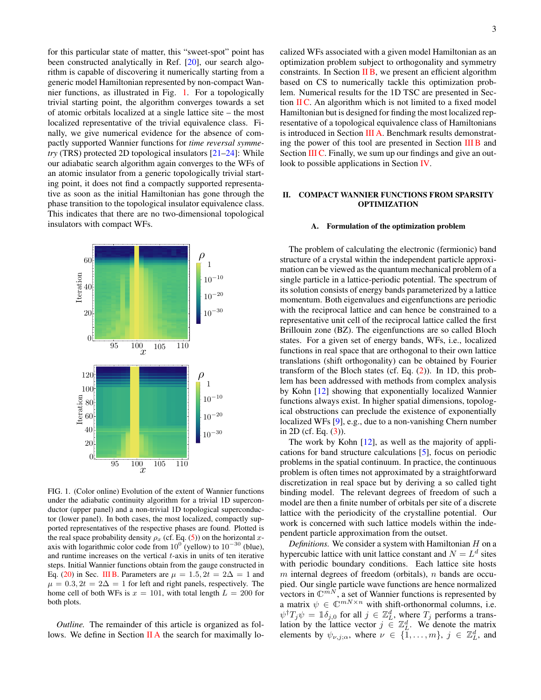for this particular state of matter, this "sweet-spot" point has been constructed analytically in Ref. [\[20\]](#page-9-18), our search algorithm is capable of discovering it numerically starting from a generic model Hamiltonian represented by non-compact Wannier functions, as illustrated in Fig. [1.](#page-2-0) For a topologically trivial starting point, the algorithm converges towards a set of atomic orbitals localized at a single lattice site – the most localized representative of the trivial equivalence class. Finally, we give numerical evidence for the absence of compactly supported Wannier functions for *time reversal symmetry* (TRS) protected 2D topological insulators [\[21–](#page-9-19)[24\]](#page-9-20): While our adiabatic search algorithm again converges to the WFs of an atomic insulator from a generic topologically trivial starting point, it does not find a compactly supported representative as soon as the initial Hamiltonian has gone through the phase transition to the topological insulator equivalence class. This indicates that there are no two-dimensional topological insulators with compact WFs.



<span id="page-2-0"></span>FIG. 1. (Color online) Evolution of the extent of Wannier functions under the adiabatic continuity algorithm for a trivial 1D superconductor (upper panel) and a non-trivial 1D topological superconductor (lower panel). In both cases, the most localized, compactly supported representatives of the respective phases are found. Plotted is the real space probability density  $\rho_x$  (cf. Eq. [\(5\)](#page-3-0)) on the horizontal xaxis with logarithmic color code from  $10^0$  (yellow) to  $10^{-30}$  (blue), and runtime increases on the vertical  $t$ -axis in units of ten iterative steps. Initial Wannier functions obtain from the gauge constructed in Eq. [\(20\)](#page-6-0) in Sec. [III B.](#page-6-1) Parameters are  $\mu = 1.5, 2t = 2\Delta = 1$  and  $\mu = 0.3, 2t = 2\Delta = 1$  for left and right panels, respectively. The home cell of both WFs is  $x = 101$ , with total length  $L = 200$  for both plots.

*Outline.* The remainder of this article is organized as follows. We define in Section  $\Pi A$  the search for maximally localized WFs associated with a given model Hamiltonian as an optimization problem subject to orthogonality and symmetry constraints. In Section [II B,](#page-3-1) we present an efficient algorithm based on CS to numerically tackle this optimization problem. Numerical results for the 1D TSC are presented in Section  $\Pi C$ . An algorithm which is not limited to a fixed model Hamiltonian but is designed for finding the most localized representative of a topological equivalence class of Hamiltonians is introduced in Section [III A.](#page-5-0) Benchmark results demonstrating the power of this tool are presented in Section [III B](#page-6-1) and Section [III C.](#page-6-2) Finally, we sum up our findings and give an outlook to possible applications in Section [IV.](#page-7-0)

# II. COMPACT WANNIER FUNCTIONS FROM SPARSITY **OPTIMIZATION**

#### <span id="page-2-1"></span>A. Formulation of the optimization problem

The problem of calculating the electronic (fermionic) band structure of a crystal within the independent particle approximation can be viewed as the quantum mechanical problem of a single particle in a lattice-periodic potential. The spectrum of its solution consists of energy bands parameterized by a lattice momentum. Both eigenvalues and eigenfunctions are periodic with the reciprocal lattice and can hence be constrained to a representative unit cell of the reciprocal lattice called the first Brillouin zone (BZ). The eigenfunctions are so called Bloch states. For a given set of energy bands, WFs, i.e., localized functions in real space that are orthogonal to their own lattice translations (shift orthogonality) can be obtained by Fourier transform of the Bloch states (cf. Eq. [\(2\)](#page-0-0)). In 1D, this problem has been addressed with methods from complex analysis by Kohn [\[12\]](#page-9-10) showing that exponentially localized Wannier functions always exist. In higher spatial dimensions, topological obstructions can preclude the existence of exponentially localized WFs [\[9\]](#page-9-8), e.g., due to a non-vanishing Chern number in 2D (cf. Eq. [\(3\)](#page-0-1)).

The work by Kohn [\[12\]](#page-9-10), as well as the majority of applications for band structure calculations [\[5\]](#page-9-4), focus on periodic problems in the spatial continuum. In practice, the continuous problem is often times not approximated by a straightforward discretization in real space but by deriving a so called tight binding model. The relevant degrees of freedom of such a model are then a finite number of orbitals per site of a discrete lattice with the periodicity of the crystalline potential. Our work is concerned with such lattice models within the independent particle approximation from the outset.

 $Definitions.$  We consider a system with Hamiltonian  $H$  on a hypercubic lattice with unit lattice constant and  $N = L<sup>d</sup>$  sites with periodic boundary conditions. Each lattice site hosts  $m$  internal degrees of freedom (orbitals),  $n$  bands are occupied. Our single particle wave functions are hence normalized vectors in  $\mathbb{C}^{mN}$ , a set of Wannier functions is represented by a matrix  $\psi \in \mathbb{C}^{mN \times n}$  with shift-orthonormal columns, i.e.  $\psi^{\dagger} T_j \psi = \mathbb{1}_{\delta_{j,0}}$  for all  $j \in \mathbb{Z}_L^d$ , where  $T_j$  performs a translation by the lattice vector  $j \in \mathbb{Z}_L^d$ . We denote the matrix elements by  $\psi_{\nu,j;\alpha}$ , where  $\nu \in \{1,\ldots,m\}$ ,  $j \in \mathbb{Z}_L^d$ , and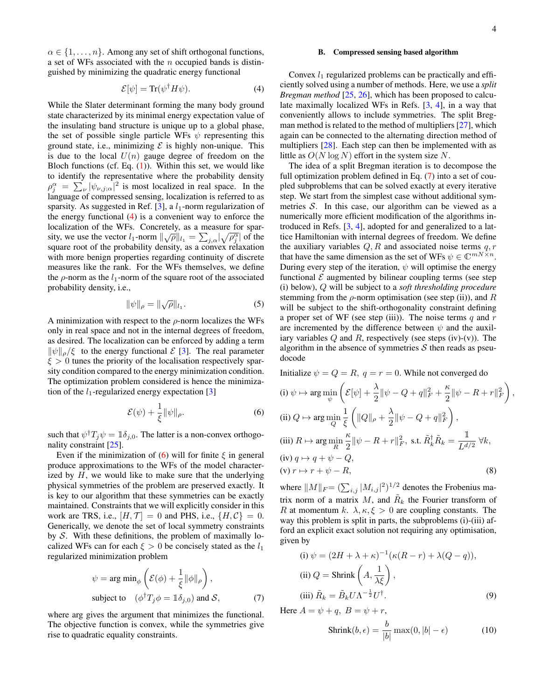$\alpha \in \{1, \ldots, n\}$ . Among any set of shift orthogonal functions, a set of WFs associated with the  $n$  occupied bands is distinguished by minimizing the quadratic energy functional

$$
\mathcal{E}[\psi] = \text{Tr}(\psi^{\dagger} H \psi). \tag{4}
$$

While the Slater determinant forming the many body ground state characterized by its minimal energy expectation value of the insulating band structure is unique up to a global phase, the set of possible single particle WFs  $\psi$  representing this ground state, i.e., minimizing  $\mathcal E$  is highly non-unique. This is due to the local  $U(n)$  gauge degree of freedom on the Bloch functions (cf. Eq.  $(1)$ ). Within this set, we would like to identify the representative where the probability density  $\rho_j^{\alpha} = \sum_{\nu} |\psi_{\nu,j;\alpha}|^2$  is most localized in real space. In the language of compressed sensing, localization is referred to as sparsity. As suggested in Ref. [\[3\]](#page-9-2), a  $l_1$ -norm regularization of the energy functional [\(4\)](#page-3-2) is a convenient way to enforce the localization of the WFs. Concretely, as a measure for sparsity, we use the vector  $l_1$ -norm  $\|\sqrt{\rho}\|_{l_1} = \sum_{j,\alpha} |\sqrt{\rho_j^{\alpha}}|$  of the square root of the probability density, as a convex relaxation with more benign properties regarding continuity of discrete measures like the rank. For the WFs themselves, we define the  $\rho$ -norm as the  $l_1$ -norm of the square root of the associated probability density, i.e.,

$$
\|\psi\|_{\rho} = \|\sqrt{\rho}\|_{l_1}.
$$
 (5)

A minimization with respect to the  $\rho$ -norm localizes the WFs only in real space and not in the internal degrees of freedom, as desired. The localization can be enforced by adding a term  $\|\psi\|_{\rho}/\xi$  to the energy functional  $\mathcal{E}$  [\[3\]](#page-9-2). The real parameter  $\xi > 0$  tunes the priority of the localisation respectively sparsity condition compared to the energy minimization condition. The optimization problem considered is hence the minimization of the  $l_1$ -regularized energy expectation [\[3\]](#page-9-2)

<span id="page-3-3"></span>
$$
\mathcal{E}(\psi) + \frac{1}{\xi} \|\psi\|_{\rho}.
$$
 (6)

such that  $\psi^{\dagger} T_j \psi = \mathbb{1} \delta_{j,0}$ . The latter is a non-convex orthogonality constraint [\[25\]](#page-9-21).

Even if the minimization of [\(6\)](#page-3-3) will for finite  $\xi$  in general produce approximations to the WFs of the model characterized by  $H$ , we would like to make sure that the underlying physical symmetries of the problem are preserved exactly. It is key to our algorithm that these symmetries can be exactly maintained. Constraints that we will explicitly consider in this work are TRS, i.e.,  $[H, \mathcal{T}] = 0$  and PHS, i.e.,  $\{H, C\} = 0$ . Generically, we denote the set of local symmetry constraints by  $S$ . With these definitions, the problem of maximally localized WFs can for each  $\xi > 0$  be concisely stated as the  $l_1$ regularized minimization problem

$$
\psi = \arg \min_{\phi} \left( \mathcal{E}(\phi) + \frac{1}{\xi} ||\phi||_{\rho} \right),
$$
  
subject to  $(\phi^{\dagger} T_j \phi = \mathbb{1}\delta_{j,0})$  and  $S,$  (7)

where arg gives the argument that minimizes the functional. The objective function is convex, while the symmetries give rise to quadratic equality constraints.

### <span id="page-3-1"></span>B. Compressed sensing based algorithm

<span id="page-3-2"></span>Convex  $l_1$  regularized problems can be practically and efficiently solved using a number of methods. Here, we use a *split Bregman method* [\[25,](#page-9-21) [26\]](#page-9-22), which has been proposed to calculate maximally localized WFs in Refs. [\[3,](#page-9-2) [4\]](#page-9-3), in a way that conveniently allows to include symmetries. The split Bregman method is related to the method of multipliers [\[27\]](#page-9-23), which again can be connected to the alternating direction method of multipliers [\[28\]](#page-9-24). Each step can then be implemented with as little as  $O(N \log N)$  effort in the system size N.

The idea of a split Bregman iteration is to decompose the full optimization problem defined in Eq. [\(7\)](#page-3-4) into a set of coupled subproblems that can be solved exactly at every iterative step. We start from the simplest case without additional symmetries  $S$ . In this case, our algorithm can be viewed as a numerically more efficient modification of the algorithms introduced in Refs. [\[3,](#page-9-2) [4\]](#page-9-3), adopted for and generalized to a lattice Hamiltonian with internal degrees of freedom. We define the auxiliary variables  $Q, R$  and associated noise terms  $q, r$ that have the same dimension as the set of WFs  $\psi \in \mathbb{C}^{mN \times n}$ . During every step of the iteration,  $\psi$  will optimise the energy functional  $\mathcal E$  augmented by bilinear coupling terms (see step (i) below), Q will be subject to a *soft thresholding procedure* stemming from the  $\rho$ -norm optimisation (see step (ii)), and R will be subject to the shift-orthogonality constraint defining a proper set of WF (see step (iii)). The noise terms  $q$  and  $r$ are incremented by the difference between  $\psi$  and the auxiliary variables  $Q$  and  $R$ , respectively (see steps (iv)-(v)). The algorithm in the absence of symmetries  $S$  then reads as pseudocode

<span id="page-3-0"></span>Initialize 
$$
\psi = Q = R
$$
,  $q = r = 0$ . While not converged do

\n(i)  $\psi \mapsto \arg\min_{\psi} \left( \mathcal{E}[\psi] + \frac{\lambda}{2} || \psi - Q + q ||^2_F + \frac{\kappa}{2} || \psi - R + r ||^2_F \right)$ 

\n(ii)  $Q \mapsto \arg\min_{Q} \frac{1}{\xi} \left( ||Q||_{\rho} + \frac{\lambda}{2} || \psi - Q + q ||^2_F \right)$ 

\n(iii)  $R \mapsto \arg\min_{R} \frac{\kappa}{2} || \psi - R + r ||^2_F$ , s.t.  $\tilde{R}_k^{\dagger} \tilde{R}_k = \frac{1}{L^{d/2}} \forall k$ 

\n(iv)  $q \mapsto q + \psi - Q$ 

\n(v)  $r \mapsto r + \psi - R$ 

\n(8)

where  $||M||_F = (\sum_{i,j} |M_{i,j}|^2)^{1/2}$  denotes the Frobenius matrix norm of a matrix M, and  $\tilde{R}_k$  the Fourier transform of R at momentum k.  $\lambda, \kappa, \xi > 0$  are coupling constants. The way this problem is split in parts, the subproblems (i)-(iii) afford an explicit exact solution not requiring any optimisation, given by

(i) 
$$
\psi = (2H + \lambda + \kappa)^{-1} (\kappa (R - r) + \lambda (Q - q)),
$$
  
\n(ii)  $Q = \text{Shrink}\left(A, \frac{1}{\lambda \xi}\right),$   
\n(iii)  $\tilde{R}_k = \tilde{B}_k U \Lambda^{-\frac{1}{2}} U^{\dagger}.$  (9)

<span id="page-3-4"></span>Here  $A = \psi + q$ ,  $B = \psi + r$ ,

$$
Shrink(b, \epsilon) = \frac{b}{|b|} max(0, |b| - \epsilon)
$$
 (10)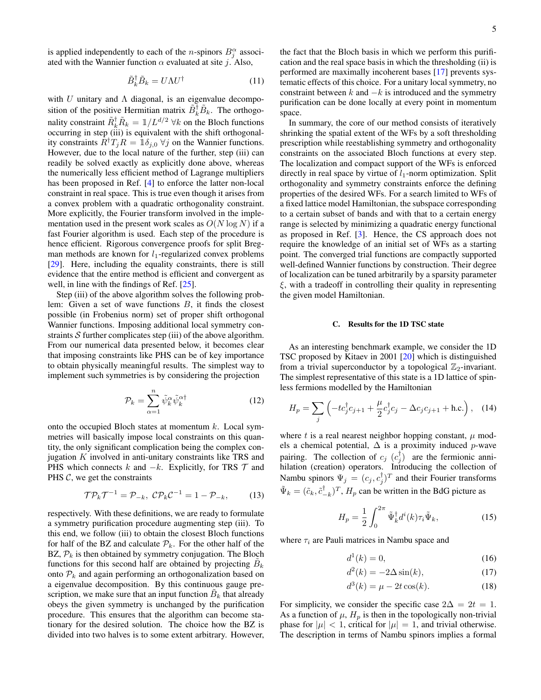$$
\tilde{B}_k^\dagger \tilde{B}_k = U\Lambda U^\dagger \tag{11}
$$

with  $U$  unitary and  $\Lambda$  diagonal, is an eigenvalue decomposition of the positive Hermitian matrix  $\tilde{B}_k^{\dagger} \tilde{B}_k$ . The orthogonality constraint  $\tilde{R}_k^{\dagger} \tilde{R}_k = \mathbb{1}/L^{d/2}$   $\forall k$  on the Bloch functions occurring in step (iii) is equivalent with the shift orthogonality constraints  $R^{\dagger}T_iR = \mathbb{1}\delta_{i,0}$   $\forall j$  on the Wannier functions. However, due to the local nature of the further, step (iii) can readily be solved exactly as explicitly done above, whereas the numerically less efficient method of Lagrange multipliers has been proposed in Ref. [\[4\]](#page-9-3) to enforce the latter non-local constraint in real space. This is true even though it arises from a convex problem with a quadratic orthogonality constraint. More explicitly, the Fourier transform involved in the implementation used in the present work scales as  $O(N \log N)$  if a fast Fourier algorithm is used. Each step of the procedure is hence efficient. Rigorous convergence proofs for split Bregman methods are known for  $l_1$ -regularized convex problems [\[29\]](#page-9-25). Here, including the equality constraints, there is still evidence that the entire method is efficient and convergent as well, in line with the findings of Ref. [\[25\]](#page-9-21).

Step (iii) of the above algorithm solves the following problem: Given a set of wave functions B, it finds the closest possible (in Frobenius norm) set of proper shift orthogonal Wannier functions. Imposing additional local symmetry constraints  $S$  further complicates step (iii) of the above algorithm. From our numerical data presented below, it becomes clear that imposing constraints like PHS can be of key importance to obtain physically meaningful results. The simplest way to implement such symmetries is by considering the projection

$$
\mathcal{P}_k = \sum_{\alpha=1}^n \tilde{\psi}_k^{\alpha} \tilde{\psi}_k^{\alpha\dagger} \tag{12}
$$

onto the occupied Bloch states at momentum  $k$ . Local symmetries will basically impose local constraints on this quantity, the only significant complication being the complex conjugation  $K$  involved in anti-unitary constraints like TRS and PHS which connects k and  $-k$ . Explicitly, for TRS  $\mathcal T$  and PHS  $C$ , we get the constraints

$$
\mathcal{TP}_k \mathcal{T}^{-1} = \mathcal{P}_{-k}, \ \mathcal{CP}_k \mathcal{C}^{-1} = 1 - \mathcal{P}_{-k}, \tag{13}
$$

respectively. With these definitions, we are ready to formulate a symmetry purification procedure augmenting step (iii). To this end, we follow (iii) to obtain the closest Bloch functions for half of the BZ and calculate  $\mathcal{P}_k$ . For the other half of the BZ,  $P_k$  is then obtained by symmetry conjugation. The Bloch functions for this second half are obtained by projecting  $\tilde{B}_k$ onto  $P_k$  and again performing an orthogonalization based on a eigenvalue decomposition. By this continuous gauge prescription, we make sure that an input function  $\tilde{B}_k$  that already obeys the given symmetry is unchanged by the purification procedure. This ensures that the algorithm can become stationary for the desired solution. The choice how the BZ is divided into two halves is to some extent arbitrary. However,

the fact that the Bloch basis in which we perform this purification and the real space basis in which the thresholding (ii) is performed are maximally incoherent bases [\[17\]](#page-9-15) prevents systematic effects of this choice. For a unitary local symmetry, no constraint between  $k$  and  $-k$  is introduced and the symmetry purification can be done locally at every point in momentum space.

In summary, the core of our method consists of iteratively shrinking the spatial extent of the WFs by a soft thresholding prescription while reestablishing symmetry and orthogonality constraints on the associated Bloch functions at every step. The localization and compact support of the WFs is enforced directly in real space by virtue of  $l_1$ -norm optimization. Split orthogonality and symmetry constraints enforce the defining properties of the desired WFs. For a search limited to WFs of a fixed lattice model Hamiltonian, the subspace corresponding to a certain subset of bands and with that to a certain energy range is selected by minimizing a quadratic energy functional as proposed in Ref. [\[3\]](#page-9-2). Hence, the CS approach does not require the knowledge of an initial set of WFs as a starting point. The converged trial functions are compactly supported well-defined Wannier functions by construction. Their degree of localization can be tuned arbitrarily by a sparsity parameter  $\xi$ , with a tradeoff in controlling their quality in representing the given model Hamiltonian.

## <span id="page-4-0"></span>C. Results for the 1D TSC state

As an interesting benchmark example, we consider the 1D TSC proposed by Kitaev in 2001 [\[20\]](#page-9-18) which is distinguished from a trivial superconductor by a topological  $\mathbb{Z}_2$ -invariant. The simplest representative of this state is a 1D lattice of spinless fermions modelled by the Hamiltonian

$$
H_p = \sum_{j} \left( -tc_j^{\dagger} c_{j+1} + \frac{\mu}{2} c_j^{\dagger} c_j - \Delta c_j c_{j+1} + \text{h.c.} \right), \quad (14)
$$

where t is a real nearest neighbor hopping constant,  $\mu$  models a chemical potential,  $\Delta$  is a proximity induced p-wave pairing. The collection of  $c_j$   $(c_j)$  are the fermionic annihilation (creation) operators. Introducing the collection of Nambu spinors  $\Psi_j = (c_j, c_j^{\dagger})^T$  and their Fourier transforms  $\tilde{\Psi}_k = (\tilde{c}_k, \tilde{c}_{-k}^{\dagger})^T$ ,  $H_p$  can be written in the BdG picture as

$$
H_p = \frac{1}{2} \int_0^{2\pi} \tilde{\Psi}_k^{\dagger} d^i(k) \tau_i \tilde{\Psi}_k, \qquad (15)
$$

where  $\tau_i$  are Pauli matrices in Nambu space and

<span id="page-4-1"></span>
$$
d^1(k) = 0,\t(16)
$$

$$
d^2(k) = -2\Delta \sin(k),\tag{17}
$$

$$
d^{3}(k) = \mu - 2t \cos(k). \tag{18}
$$

For simplicity, we consider the specific case  $2\Delta = 2t = 1$ . As a function of  $\mu$ ,  $H_p$  is then in the topologically non-trivial phase for  $|\mu| < 1$ , critical for  $|\mu| = 1$ , and trivial otherwise. The description in terms of Nambu spinors implies a formal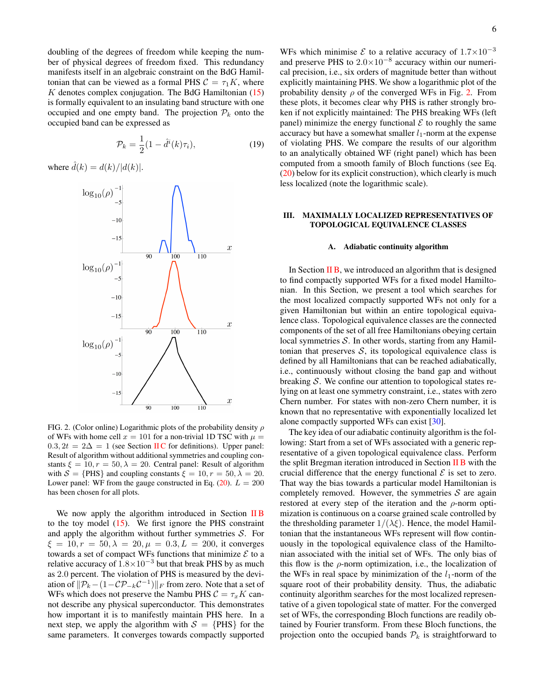doubling of the degrees of freedom while keeping the number of physical degrees of freedom fixed. This redundancy manifests itself in an algebraic constraint on the BdG Hamiltonian that can be viewed as a formal PHS  $C = \tau_1 K$ , where  $K$  denotes complex conjugation. The BdG Hamiltonian  $(15)$ is formally equivalent to an insulating band structure with one occupied and one empty band. The projection  $\mathcal{P}_k$  onto the occupied band can be expressed as

$$
\mathcal{P}_k = \frac{1}{2}(1 - \hat{d}^i(k)\tau_i),\tag{19}
$$

where  $\hat{d}(k) = d(k)/|d(k)|$ .



<span id="page-5-1"></span>FIG. 2. (Color online) Logarithmic plots of the probability density  $\rho$ of WFs with home cell  $x = 101$  for a non-trivial 1D TSC with  $\mu =$  $0.3, 2t = 2\Delta = 1$  (see Section [II C](#page-4-0) for definitions). Upper panel: Result of algorithm without additional symmetries and coupling constants  $\xi = 10, r = 50, \lambda = 20$ . Central panel: Result of algorithm with  $S = {PHS}$  and coupling constants  $\xi = 10, r = 50, \lambda = 20$ . Lower panel: WF from the gauge constructed in Eq.  $(20)$ .  $L = 200$ has been chosen for all plots.

We now apply the algorithm introduced in Section [II B](#page-3-1) to the toy model  $(15)$ . We first ignore the PHS constraint and apply the algorithm without further symmetries  $S$ . For  $\xi = 10, r = 50, \lambda = 20, \mu = 0.3, L = 200$ , it converges towards a set of compact WFs functions that minimize  $\mathcal E$  to a relative accuracy of  $1.8 \times 10^{-3}$  but that break PHS by as much as 2.0 percent. The violation of PHS is measured by the deviation of  $||\mathcal{P}_k - (1 - \mathcal{CP}_{-k}\mathcal{C}^{-1})||_F$  from zero. Note that a set of WFs which does not preserve the Nambu PHS  $C = \tau_x K$  cannot describe any physical superconductor. This demonstrates how important it is to manifestly maintain PHS here. In a next step, we apply the algorithm with  $S = {PHS}$  for the same parameters. It converges towards compactly supported

WFs which minimise  $\mathcal E$  to a relative accuracy of  $1.7\times10^{-3}$ and preserve PHS to  $2.0 \times 10^{-8}$  accuracy within our numerical precision, i.e., six orders of magnitude better than without explicitly maintaining PHS. We show a logarithmic plot of the probability density  $\rho$  of the converged WFs in Fig. [2.](#page-5-1) From these plots, it becomes clear why PHS is rather strongly broken if not explicitly maintained: The PHS breaking WFs (left panel) minimize the energy functional  $\mathcal E$  to roughly the same accuracy but have a somewhat smaller  $l_1$ -norm at the expense of violating PHS. We compare the results of our algorithm to an analytically obtained WF (right panel) which has been computed from a smooth family of Bloch functions (see Eq. [\(20\)](#page-6-0) below for its explicit construction), which clearly is much less localized (note the logarithmic scale).

# <span id="page-5-2"></span>III. MAXIMALLY LOCALIZED REPRESENTATIVES OF TOPOLOGICAL EQUIVALENCE CLASSES

#### <span id="page-5-0"></span>A. Adiabatic continuity algorithm

In Section  $\overline{II}B$ , we introduced an algorithm that is designed to find compactly supported WFs for a fixed model Hamiltonian. In this Section, we present a tool which searches for the most localized compactly supported WFs not only for a given Hamiltonian but within an entire topological equivalence class. Topological equivalence classes are the connected components of the set of all free Hamiltonians obeying certain local symmetries  $S$ . In other words, starting from any Hamiltonian that preserves  $S$ , its topological equivalence class is defined by all Hamiltonians that can be reached adiabatically, i.e., continuously without closing the band gap and without breaking  $S$ . We confine our attention to topological states relying on at least one symmetry constraint, i.e., states with zero Chern number. For states with non-zero Chern number, it is known that no representative with exponentially localized let alone compactly supported WFs can exist [\[30\]](#page-9-26).

The key idea of our adiabatic continuity algorithm is the following: Start from a set of WFs associated with a generic representative of a given topological equivalence class. Perform the split Bregman iteration introduced in Section [II B](#page-3-1) with the crucial difference that the energy functional  $\mathcal E$  is set to zero. That way the bias towards a particular model Hamiltonian is completely removed. However, the symmetries  $S$  are again restored at every step of the iteration and the  $\rho$ -norm optimization is continuous on a coarse grained scale controlled by the thresholding parameter  $1/(\lambda \xi)$ . Hence, the model Hamiltonian that the instantaneous WFs represent will flow continuously in the topological equivalence class of the Hamiltonian associated with the initial set of WFs. The only bias of this flow is the  $\rho$ -norm optimization, i.e., the localization of the WFs in real space by minimization of the  $l_1$ -norm of the square root of their probability density. Thus, the adiabatic continuity algorithm searches for the most localized representative of a given topological state of matter. For the converged set of WFs, the corresponding Bloch functions are readily obtained by Fourier transform. From these Bloch functions, the projection onto the occupied bands  $\mathcal{P}_k$  is straightforward to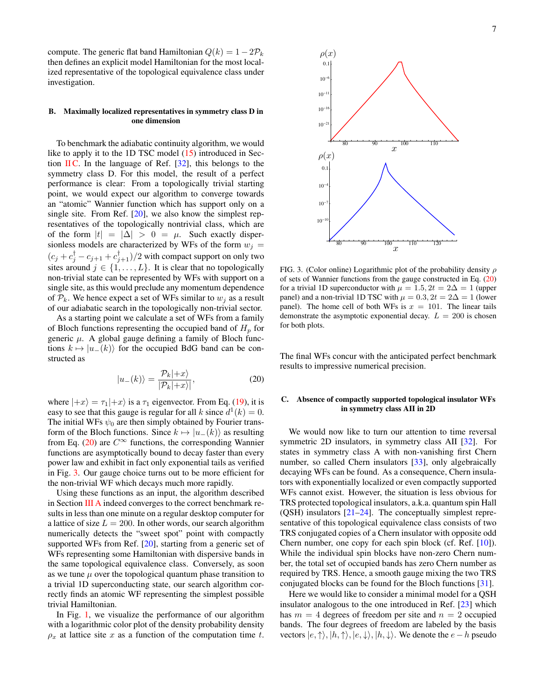compute. The generic flat band Hamiltonian  $Q(k) = 1-2\mathcal{P}_k$ then defines an explicit model Hamiltonian for the most localized representative of the topological equivalence class under investigation.

### <span id="page-6-1"></span>B. Maximally localized representatives in symmetry class D in one dimension

To benchmark the adiabatic continuity algorithm, we would like to apply it to the 1D TSC model [\(15\)](#page-4-1) introduced in Section  $\overline{IL}$ . In the language of Ref. [\[32\]](#page-9-27), this belongs to the symmetry class D. For this model, the result of a perfect performance is clear: From a topologically trivial starting point, we would expect our algorithm to converge towards an "atomic" Wannier function which has support only on a single site. From Ref.  $[20]$ , we also know the simplest representatives of the topologically nontrivial class, which are of the form  $|t| = |\Delta| > 0 = \mu$ . Such exactly dispersionless models are characterized by WFs of the form  $w_i =$  $(c_j + c_j^{\dagger} - c_{j+1} + c_{j+1}^{\dagger})/2$  with compact support on only two sites around  $j \in \{1, \ldots, L\}$ . It is clear that no topologically non-trivial state can be represented by WFs with support on a single site, as this would preclude any momentum dependence of  $P_k$ . We hence expect a set of WFs similar to  $w_i$  as a result of our adiabatic search in the topologically non-trivial sector.

As a starting point we calculate a set of WFs from a family of Bloch functions representing the occupied band of  $H_p$  for generic  $\mu$ . A global gauge defining a family of Bloch functions  $k \mapsto |u_-(k)\rangle$  for the occupied BdG band can be constructed as

$$
|u_{-}(k)\rangle = \frac{\mathcal{P}_{k}|+x\rangle}{|\mathcal{P}_{k}|+x\rangle|},\tag{20}
$$

where  $|+x\rangle = \tau_1|+x\rangle$  is a  $\tau_1$  eigenvector. From Eq. [\(19\)](#page-5-2), it is easy to see that this gauge is regular for all k since  $d^1(k) = 0$ . The initial WFs  $\psi_0$  are then simply obtained by Fourier transform of the Bloch functions. Since  $k \mapsto |u_-(k)\rangle$  as resulting from Eq. [\(20\)](#page-6-0) are  $C^{\infty}$  functions, the corresponding Wannier functions are asymptotically bound to decay faster than every power law and exhibit in fact only exponential tails as verified in Fig. [3.](#page-6-3) Our gauge choice turns out to be more efficient for the non-trivial WF which decays much more rapidly.

Using these functions as an input, the algorithm described in Section [III A](#page-5-0) indeed converges to the correct benchmark results in less than one minute on a regular desktop computer for a lattice of size  $L = 200$ . In other words, our search algorithm numerically detects the "sweet spot" point with compactly supported WFs from Ref. [\[20\]](#page-9-18), starting from a generic set of WFs representing some Hamiltonian with dispersive bands in the same topological equivalence class. Conversely, as soon as we tune  $\mu$  over the topological quantum phase transition to a trivial 1D superconducting state, our search algorithm correctly finds an atomic WF representing the simplest possible trivial Hamiltonian.

In Fig. [1,](#page-2-0) we visualize the performance of our algorithm with a logarithmic color plot of the density probability density  $\rho_x$  at lattice site x as a function of the computation time t.



<span id="page-6-3"></span>FIG. 3. (Color online) Logarithmic plot of the probability density  $\rho$ of sets of Wannier functions from the gauge constructed in Eq. [\(20\)](#page-6-0) for a trivial 1D superconductor with  $\mu = 1.5$ ,  $2t = 2\Delta = 1$  (upper panel) and a non-trivial 1D TSC with  $\mu = 0.3, 2t = 2\Delta = 1$  (lower panel). The home cell of both WFs is  $x = 101$ . The linear tails demonstrate the asymptotic exponential decay.  $L = 200$  is chosen for both plots.

<span id="page-6-0"></span>The final WFs concur with the anticipated perfect benchmark results to impressive numerical precision.

# <span id="page-6-2"></span>C. Absence of compactly supported topological insulator WFs in symmetry class AII in 2D

We would now like to turn our attention to time reversal symmetric 2D insulators, in symmetry class AII [\[32\]](#page-9-27). For states in symmetry class A with non-vanishing first Chern number, so called Chern insulators [\[33\]](#page-9-28), only algebraically decaying WFs can be found. As a consequence, Chern insulators with exponentially localized or even compactly supported WFs cannot exist. However, the situation is less obvious for TRS protected topological insulators, a.k.a. quantum spin Hall (QSH) insulators  $[21-24]$  $[21-24]$ . The conceptually simplest representative of this topological equivalence class consists of two TRS conjugated copies of a Chern insulator with opposite odd Chern number, one copy for each spin block (cf. Ref. [\[10\]](#page-9-29)). While the individual spin blocks have non-zero Chern number, the total set of occupied bands has zero Chern number as required by TRS. Hence, a smooth gauge mixing the two TRS conjugated blocks can be found for the Bloch functions [\[31\]](#page-9-30).

Here we would like to consider a minimal model for a QSH insulator analogous to the one introduced in Ref. [\[23\]](#page-9-31) which has  $m = 4$  degrees of freedom per site and  $n = 2$  occupied bands. The four degrees of freedom are labeled by the basis vectors  $|e, \uparrow \rangle, |h, \uparrow \rangle, |e, \downarrow \rangle, |h, \downarrow \rangle$ . We denote the  $e-h$  pseudo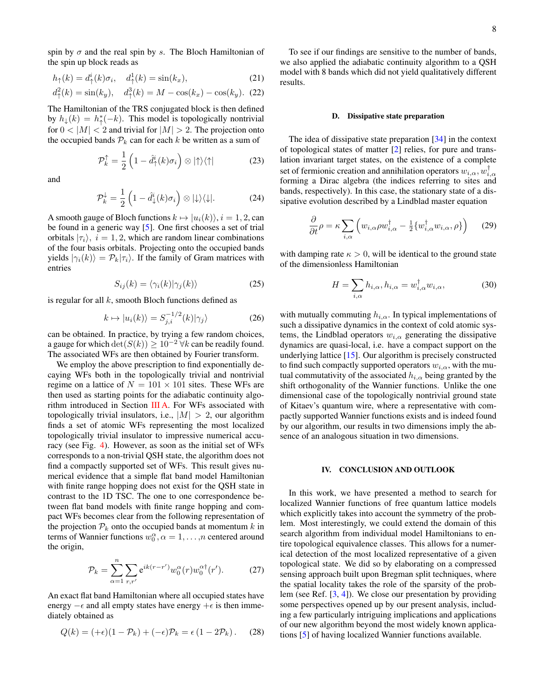spin by  $\sigma$  and the real spin by s. The Bloch Hamiltonian of the spin up block reads as

$$
h_{\uparrow}(k) = d_{\uparrow}^{i}(k)\sigma_{i}, \quad d_{\uparrow}^{1}(k) = \sin(k_{x}), \tag{21}
$$

$$
d_{\uparrow}^{2}(k) = \sin(k_{y}), \quad d_{\uparrow}^{3}(k) = M - \cos(k_{x}) - \cos(k_{y}). \tag{22}
$$

The Hamiltonian of the TRS conjugated block is then defined by  $h_{\downarrow}(k) = h_{\uparrow}^{*}(-k)$ . This model is topologically nontrivial for  $0 < |M| < 2$  and trivial for  $|M| > 2$ . The projection onto the occupied bands  $P_k$  can for each k be written as a sum of

$$
\mathcal{P}_k^{\uparrow} = \frac{1}{2} \left( 1 - \hat{d}_{\uparrow}^i(k)\sigma_i \right) \otimes |\uparrow\rangle\langle\uparrow| \tag{23}
$$

and

$$
\mathcal{P}_k^{\downarrow} = \frac{1}{2} \left( 1 - \hat{d}_{\downarrow}^i(k)\sigma_i \right) \otimes |\downarrow\rangle\langle\downarrow|.
$$
 (24)

A smooth gauge of Bloch functions  $k \mapsto |u_i(k)\rangle$ ,  $i = 1, 2$ , can be found in a generic way [\[5\]](#page-9-4). One first chooses a set of trial orbitals  $|\tau_i\rangle$ ,  $i = 1, 2$ , which are random linear combinations of the four basis orbitals. Projecting onto the occupied bands yields  $|\gamma_i(k)\rangle = \mathcal{P}_k|\tau_i\rangle$ . If the family of Gram matrices with entries

$$
S_{ij}(k) = \langle \gamma_i(k) | \gamma_j(k) \rangle \tag{25}
$$

is regular for all  $k$ , smooth Bloch functions defined as

$$
k \mapsto |u_i(k)\rangle = S_{j,i}^{-1/2}(k)|\gamma_j\rangle \tag{26}
$$

can be obtained. In practice, by trying a few random choices, a gauge for which  $\det(S(k)) \geq 10^{-2} \forall k$  can be readily found. The associated WFs are then obtained by Fourier transform.

We employ the above prescription to find exponentially decaying WFs both in the topologically trivial and nontrivial regime on a lattice of  $N = 101 \times 101$  sites. These WFs are then used as starting points for the adiabatic continuity algorithm introduced in Section [III A.](#page-5-0) For WFs associated with topologically trivial insulators, i.e.,  $|M| > 2$ , our algorithm finds a set of atomic WFs representing the most localized topologically trivial insulator to impressive numerical accuracy (see Fig. [4\)](#page-8-0). However, as soon as the initial set of WFs corresponds to a non-trivial QSH state, the algorithm does not find a compactly supported set of WFs. This result gives numerical evidence that a simple flat band model Hamiltonian with finite range hopping does not exist for the QSH state in contrast to the 1D TSC. The one to one correspondence between flat band models with finite range hopping and compact WFs becomes clear from the following representation of the projection  $P_k$  onto the occupied bands at momentum k in terms of Wannier functions  $w_0^{\alpha}, \alpha = 1, \ldots, n$  centered around the origin,

$$
\mathcal{P}_k = \sum_{\alpha=1}^n \sum_{r,r'} e^{ik(r-r')} w_0^{\alpha}(r) w_0^{\alpha\dagger}(r'). \tag{27}
$$

An exact flat band Hamiltonian where all occupied states have energy  $-\epsilon$  and all empty states have energy  $+\epsilon$  is then immediately obtained as

$$
Q(k) = (+\epsilon)(1 - \mathcal{P}_k) + (-\epsilon)\mathcal{P}_k = \epsilon(1 - 2\mathcal{P}_k).
$$
 (28)

<span id="page-7-1"></span>To see if our findings are sensitive to the number of bands, we also applied the adiabatic continuity algorithm to a QSH model with 8 bands which did not yield qualitatively different results.

#### D. Dissipative state preparation

The idea of dissipative state preparation [\[34\]](#page-9-32) in the context of topological states of matter [\[2\]](#page-9-1) relies, for pure and translation invariant target states, on the existence of a complete set of fermionic creation and annihilation operators  $w_{i,\alpha}, w_{i,\alpha}^{\dagger}$ forming a Dirac algebra (the indices referring to sites and bands, respectively). In this case, the stationary state of a dissipative evolution described by a Lindblad master equation

$$
\frac{\partial}{\partial t}\rho = \kappa \sum_{i,\alpha} \left( w_{i,\alpha} \rho w_{i,\alpha}^{\dagger} - \frac{1}{2} \{ w_{i,\alpha}^{\dagger} w_{i,\alpha}, \rho \} \right)
$$
 (29)

with damping rate  $\kappa > 0$ , will be identical to the ground state of the dimensionless Hamiltonian

$$
H = \sum_{i,\alpha} h_{i,\alpha}, h_{i,\alpha} = w_{i,\alpha}^{\dagger} w_{i,\alpha}, \tag{30}
$$

with mutually commuting  $h_{i,\alpha}$ . In typical implementations of such a dissipative dynamics in the context of cold atomic systems, the Lindblad operators  $w_{i,\alpha}$  generating the dissipative dynamics are quasi-local, i.e. have a compact support on the underlying lattice [\[15\]](#page-9-13). Our algorithm is precisely constructed to find such compactly supported operators  $w_{i,\alpha}$ , with the mutual commutativity of the associated  $h_{i,\alpha}$  being granted by the shift orthogonality of the Wannier functions. Unlike the one dimensional case of the topologically nontrivial ground state of Kitaev's quantum wire, where a representative with compactly supported Wannier functions exists and is indeed found by our algorithm, our results in two dimensions imply the absence of an analogous situation in two dimensions.

# <span id="page-7-0"></span>IV. CONCLUSION AND OUTLOOK

In this work, we have presented a method to search for localized Wannier functions of free quantum lattice models which explicitly takes into account the symmetry of the problem. Most interestingly, we could extend the domain of this search algorithm from individual model Hamiltonians to entire topological equivalence classes. This allows for a numerical detection of the most localized representative of a given topological state. We did so by elaborating on a compressed sensing approach built upon Bregman split techniques, where the spatial locality takes the role of the sparsity of the problem (see Ref. [\[3,](#page-9-2) [4\]](#page-9-3)). We close our presentation by providing some perspectives opened up by our present analysis, including a few particularly intriguing implications and applications of our new algorithm beyond the most widely known applications [\[5\]](#page-9-4) of having localized Wannier functions available.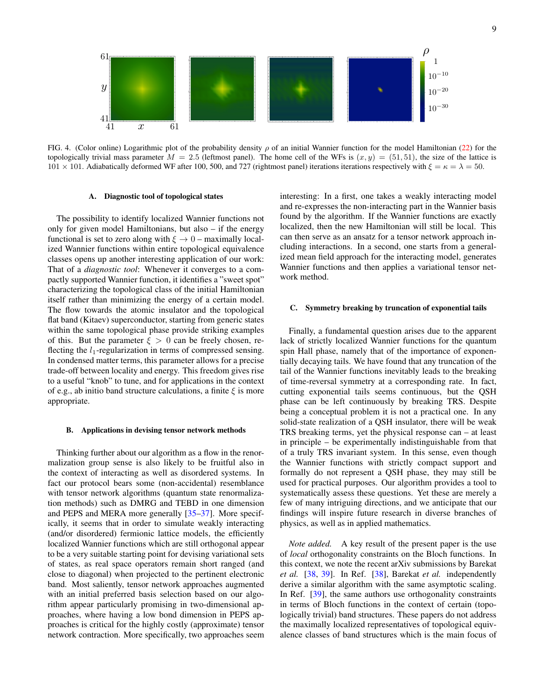

<span id="page-8-0"></span> $\kappa = \kappa$ FIG. 4. (Color online) Logarithmic plot of the probability density  $\rho$  of an initial Wannier function for the model Hamiltonian [\(22\)](#page-7-1) for the nerations 101 × 101. Adiabatically deformed WF after 100, 500, and 727 (rightmost panel) iterations iterations respectively with  $\xi = \kappa = \lambda = 50$ . topologically trivial mass parameter  $M = 2.5$  (leftmost panel). The home cell of the WFs is  $(x, y) = (51, 51)$ , the size of the lattice is

#### A. Diagnostic tool of topological states

The possibility to identify localized Wannier functions not only for given model Hamiltonians, but also – if the energy functional is set to zero along with  $\xi \to 0$  – maximally localized Wannier functions within entire topological equivalence classes opens up another interesting application of our work: That of a *diagnostic tool*: Whenever it converges to a compactly supported Wannier function, it identifies a "sweet spot" characterizing the topological class of the initial Hamiltonian itself rather than minimizing the energy of a certain model. The flow towards the atomic insulator and the topological flat band (Kitaev) superconductor, starting from generic states within the same topological phase provide striking examples of this. But the parameter  $\xi > 0$  can be freely chosen, reflecting the  $l_1$ -regularization in terms of compressed sensing. In condensed matter terms, this parameter allows for a precise trade-off between locality and energy. This freedom gives rise to a useful "knob" to tune, and for applications in the context of e.g., ab initio band structure calculations, a finite  $\xi$  is more appropriate.

#### B. Applications in devising tensor network methods

Thinking further about our algorithm as a flow in the renormalization group sense is also likely to be fruitful also in the context of interacting as well as disordered systems. In fact our protocol bears some (non-accidental) resemblance with tensor network algorithms (quantum state renormalization methods) such as DMRG and TEBD in one dimension and PEPS and MERA more generally [\[35](#page-9-33)[–37\]](#page-9-34). More specifically, it seems that in order to simulate weakly interacting (and/or disordered) fermionic lattice models, the efficiently localized Wannier functions which are still orthogonal appear to be a very suitable starting point for devising variational sets of states, as real space operators remain short ranged (and close to diagonal) when projected to the pertinent electronic band. Most saliently, tensor network approaches augmented with an initial preferred basis selection based on our algorithm appear particularly promising in two-dimensional approaches, where having a low bond dimension in PEPS approaches is critical for the highly costly (approximate) tensor network contraction. More specifically, two approaches seem

30 interesting: In a first, one takes a weakly interacting model and re-expresses the non-interacting part in the Wannier basis found by the algorithm. If the Wannier functions are exactly localized, then the new Hamiltonian will still be local. This can then serve as an ansatz for a tensor network approach including interactions. In a second, one starts from a generalized mean field approach for the interacting model, generates Wannier functions and then applies a variational tensor network method.

#### C. Symmetry breaking by truncation of exponential tails

Finally, a fundamental question arises due to the apparent lack of strictly localized Wannier functions for the quantum spin Hall phase, namely that of the importance of exponentially decaying tails. We have found that any truncation of the tail of the Wannier functions inevitably leads to the breaking of time-reversal symmetry at a corresponding rate. In fact, cutting exponential tails seems continuous, but the QSH phase can be left continuously by breaking TRS. Despite being a conceptual problem it is not a practical one. In any solid-state realization of a QSH insulator, there will be weak TRS breaking terms, yet the physical response can – at least in principle – be experimentally indistinguishable from that of a truly TRS invariant system. In this sense, even though the Wannier functions with strictly compact support and formally do not represent a QSH phase, they may still be used for practical purposes. Our algorithm provides a tool to systematically assess these questions. Yet these are merely a few of many intriguing directions, and we anticipate that our findings will inspire future research in diverse branches of physics, as well as in applied mathematics.

*Note added.* A key result of the present paper is the use of *local* orthogonality constraints on the Bloch functions. In this context, we note the recent arXiv submissions by Barekat *et al.* [\[38,](#page-9-35) [39\]](#page-9-36). In Ref. [\[38\]](#page-9-35), Barekat *et al.* independently derive a similar algorithm with the same asymptotic scaling. In Ref. [\[39\]](#page-9-36), the same authors use orthogonality constraints in terms of Bloch functions in the context of certain (topologically trivial) band structures. These papers do not address the maximally localized representatives of topological equivalence classes of band structures which is the main focus of